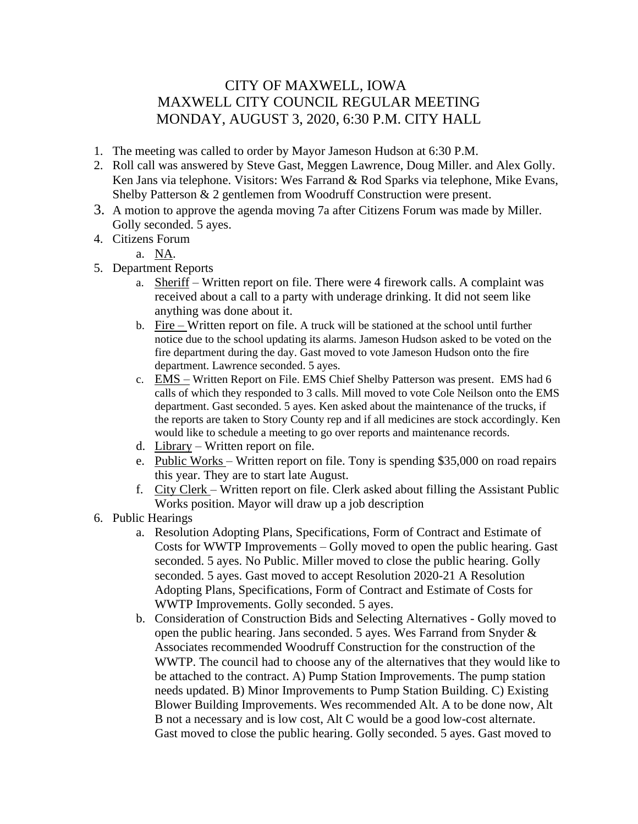## CITY OF MAXWELL, IOWA MAXWELL CITY COUNCIL REGULAR MEETING MONDAY, AUGUST 3, 2020, 6:30 P.M. CITY HALL

- 1. The meeting was called to order by Mayor Jameson Hudson at 6:30 P.M.
- 2. Roll call was answered by Steve Gast, Meggen Lawrence, Doug Miller. and Alex Golly. Ken Jans via telephone. Visitors: Wes Farrand & Rod Sparks via telephone, Mike Evans, Shelby Patterson & 2 gentlemen from Woodruff Construction were present.
- 3. A motion to approve the agenda moving 7a after Citizens Forum was made by Miller. Golly seconded. 5 ayes.
- 4. Citizens Forum

a. NA.

- 5. Department Reports
	- a. Sheriff Written report on file. There were 4 firework calls. A complaint was received about a call to a party with underage drinking. It did not seem like anything was done about it.
	- b. Fire Written report on file. A truck will be stationed at the school until further notice due to the school updating its alarms. Jameson Hudson asked to be voted on the fire department during the day. Gast moved to vote Jameson Hudson onto the fire department. Lawrence seconded. 5 ayes.
	- c. EMS Written Report on File. EMS Chief Shelby Patterson was present. EMS had 6 calls of which they responded to 3 calls. Mill moved to vote Cole Neilson onto the EMS department. Gast seconded. 5 ayes. Ken asked about the maintenance of the trucks, if the reports are taken to Story County rep and if all medicines are stock accordingly. Ken would like to schedule a meeting to go over reports and maintenance records.
	- d. Library Written report on file.
	- e. Public Works Written report on file. Tony is spending \$35,000 on road repairs this year. They are to start late August.
	- f. City Clerk Written report on file. Clerk asked about filling the Assistant Public Works position. Mayor will draw up a job description
- 6. Public Hearings
	- a. Resolution Adopting Plans, Specifications, Form of Contract and Estimate of Costs for WWTP Improvements – Golly moved to open the public hearing. Gast seconded. 5 ayes. No Public. Miller moved to close the public hearing. Golly seconded. 5 ayes. Gast moved to accept Resolution 2020-21 A Resolution Adopting Plans, Specifications, Form of Contract and Estimate of Costs for WWTP Improvements. Golly seconded. 5 ayes.
	- b. Consideration of Construction Bids and Selecting Alternatives Golly moved to open the public hearing. Jans seconded. 5 ayes. Wes Farrand from Snyder & Associates recommended Woodruff Construction for the construction of the WWTP. The council had to choose any of the alternatives that they would like to be attached to the contract. A) Pump Station Improvements. The pump station needs updated. B) Minor Improvements to Pump Station Building. C) Existing Blower Building Improvements. Wes recommended Alt. A to be done now, Alt B not a necessary and is low cost, Alt C would be a good low-cost alternate. Gast moved to close the public hearing. Golly seconded. 5 ayes. Gast moved to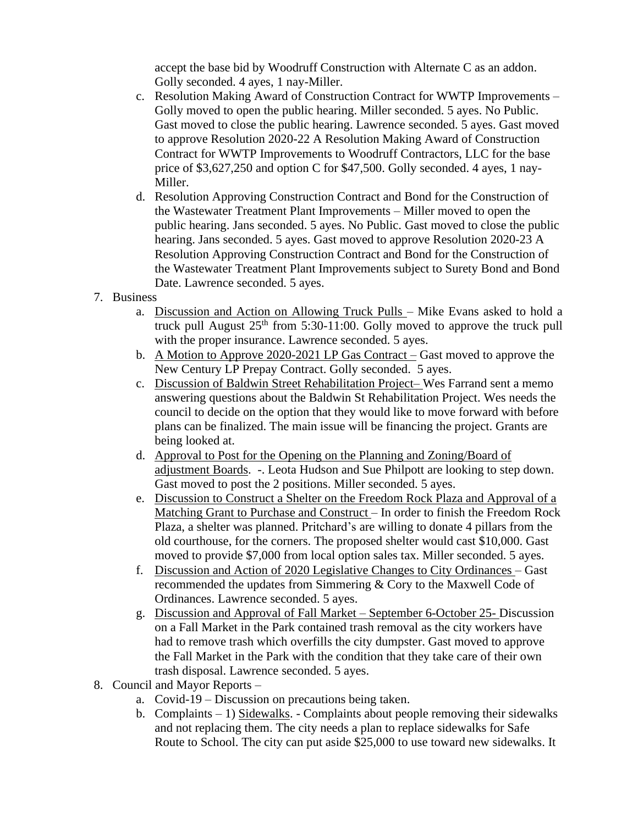accept the base bid by Woodruff Construction with Alternate C as an addon. Golly seconded. 4 ayes, 1 nay-Miller.

- c. Resolution Making Award of Construction Contract for WWTP Improvements Golly moved to open the public hearing. Miller seconded. 5 ayes. No Public. Gast moved to close the public hearing. Lawrence seconded. 5 ayes. Gast moved to approve Resolution 2020-22 A Resolution Making Award of Construction Contract for WWTP Improvements to Woodruff Contractors, LLC for the base price of \$3,627,250 and option C for \$47,500. Golly seconded. 4 ayes, 1 nay-Miller.
- d. Resolution Approving Construction Contract and Bond for the Construction of the Wastewater Treatment Plant Improvements – Miller moved to open the public hearing. Jans seconded. 5 ayes. No Public. Gast moved to close the public hearing. Jans seconded. 5 ayes. Gast moved to approve Resolution 2020-23 A Resolution Approving Construction Contract and Bond for the Construction of the Wastewater Treatment Plant Improvements subject to Surety Bond and Bond Date. Lawrence seconded. 5 ayes.
- 7. Business
	- a. Discussion and Action on Allowing Truck Pulls Mike Evans asked to hold a truck pull August  $25<sup>th</sup>$  from 5:30-11:00. Golly moved to approve the truck pull with the proper insurance. Lawrence seconded. 5 ayes.
	- b. A Motion to Approve 2020-2021 LP Gas Contract Gast moved to approve the New Century LP Prepay Contract. Golly seconded. 5 ayes.
	- c. Discussion of Baldwin Street Rehabilitation Project– Wes Farrand sent a memo answering questions about the Baldwin St Rehabilitation Project. Wes needs the council to decide on the option that they would like to move forward with before plans can be finalized. The main issue will be financing the project. Grants are being looked at.
	- d. Approval to Post for the Opening on the Planning and Zoning/Board of adjustment Boards. -. Leota Hudson and Sue Philpott are looking to step down. Gast moved to post the 2 positions. Miller seconded. 5 ayes.
	- e. Discussion to Construct a Shelter on the Freedom Rock Plaza and Approval of a Matching Grant to Purchase and Construct – In order to finish the Freedom Rock Plaza, a shelter was planned. Pritchard's are willing to donate 4 pillars from the old courthouse, for the corners. The proposed shelter would cast \$10,000. Gast moved to provide \$7,000 from local option sales tax. Miller seconded. 5 ayes.
	- f. Discussion and Action of 2020 Legislative Changes to City Ordinances Gast recommended the updates from Simmering & Cory to the Maxwell Code of Ordinances. Lawrence seconded. 5 ayes.
	- g. Discussion and Approval of Fall Market September 6-October 25- Discussion on a Fall Market in the Park contained trash removal as the city workers have had to remove trash which overfills the city dumpster. Gast moved to approve the Fall Market in the Park with the condition that they take care of their own trash disposal. Lawrence seconded. 5 ayes.
- 8. Council and Mayor Reports
	- a. Covid-19 Discussion on precautions being taken.
	- b. Complaints  $-1$ ) Sidewalks. Complaints about people removing their sidewalks and not replacing them. The city needs a plan to replace sidewalks for Safe Route to School. The city can put aside \$25,000 to use toward new sidewalks. It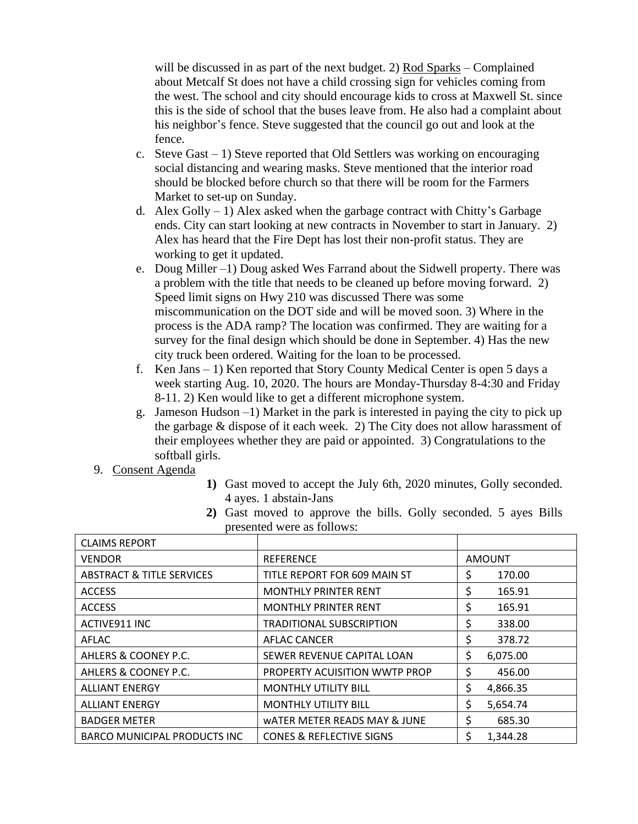will be discussed in as part of the next budget. 2) Rod Sparks – Complained about Metcalf St does not have a child crossing sign for vehicles coming from the west. The school and city should encourage kids to cross at Maxwell St. since this is the side of school that the buses leave from. He also had a complaint about his neighbor's fence. Steve suggested that the council go out and look at the fence.

- c. Steve Gast  $-1$ ) Steve reported that Old Settlers was working on encouraging social distancing and wearing masks. Steve mentioned that the interior road should be blocked before church so that there will be room for the Farmers Market to set-up on Sunday.
- d. Alex Golly  $-1$ ) Alex asked when the garbage contract with Chitty's Garbage ends. City can start looking at new contracts in November to start in January. 2) Alex has heard that the Fire Dept has lost their non-profit status. They are working to get it updated.
- e. Doug Miller –1) Doug asked Wes Farrand about the Sidwell property. There was a problem with the title that needs to be cleaned up before moving forward. 2) Speed limit signs on Hwy 210 was discussed There was some miscommunication on the DOT side and will be moved soon. 3) Where in the process is the ADA ramp? The location was confirmed. They are waiting for a survey for the final design which should be done in September. 4) Has the new city truck been ordered. Waiting for the loan to be processed.
- f. Ken Jans 1) Ken reported that Story County Medical Center is open 5 days a week starting Aug. 10, 2020. The hours are Monday-Thursday 8-4:30 and Friday 8-11. 2) Ken would like to get a different microphone system.
- g. Jameson Hudson –1) Market in the park is interested in paying the city to pick up the garbage & dispose of it each week. 2) The City does not allow harassment of their employees whether they are paid or appointed. 3) Congratulations to the softball girls.
- 9. Consent Agenda
- **1)** Gast moved to accept the July 6th, 2020 minutes, Golly seconded. 4 ayes. 1 abstain-Jans
- **2)** Gast moved to approve the bills. Golly seconded. 5 ayes Bills presented were as follows:

| <b>CLAIMS REPORT</b>                 |                                         |                |
|--------------------------------------|-----------------------------------------|----------------|
| <b>VENDOR</b>                        | <b>REFERENCE</b>                        | <b>AMOUNT</b>  |
| <b>ABSTRACT &amp; TITLE SERVICES</b> | TITLE REPORT FOR 609 MAIN ST            | \$<br>170.00   |
| <b>ACCESS</b>                        | <b>MONTHLY PRINTER RENT</b>             | \$<br>165.91   |
| <b>ACCESS</b>                        | <b>MONTHLY PRINTER RENT</b>             | \$<br>165.91   |
| ACTIVE911 INC                        | <b>TRADITIONAL SUBSCRIPTION</b>         | \$<br>338.00   |
| AFLAC                                | <b>AFLAC CANCER</b>                     | \$<br>378.72   |
| AHLERS & COONEY P.C.                 | SEWER REVENUE CAPITAL LOAN              | \$<br>6,075.00 |
| AHLERS & COONEY P.C.                 | PROPERTY ACUISITION WWTP PROP           | \$<br>456.00   |
| <b>ALLIANT ENERGY</b>                | <b>MONTHLY UTILITY BILL</b>             | \$<br>4,866.35 |
| <b>ALLIANT ENERGY</b>                | <b>MONTHLY UTILITY BILL</b>             | \$<br>5,654.74 |
| <b>BADGER METER</b>                  | <b>WATER METER READS MAY &amp; JUNE</b> | \$<br>685.30   |
| <b>BARCO MUNICIPAL PRODUCTS INC</b>  | <b>CONES &amp; REFLECTIVE SIGNS</b>     | \$<br>1,344.28 |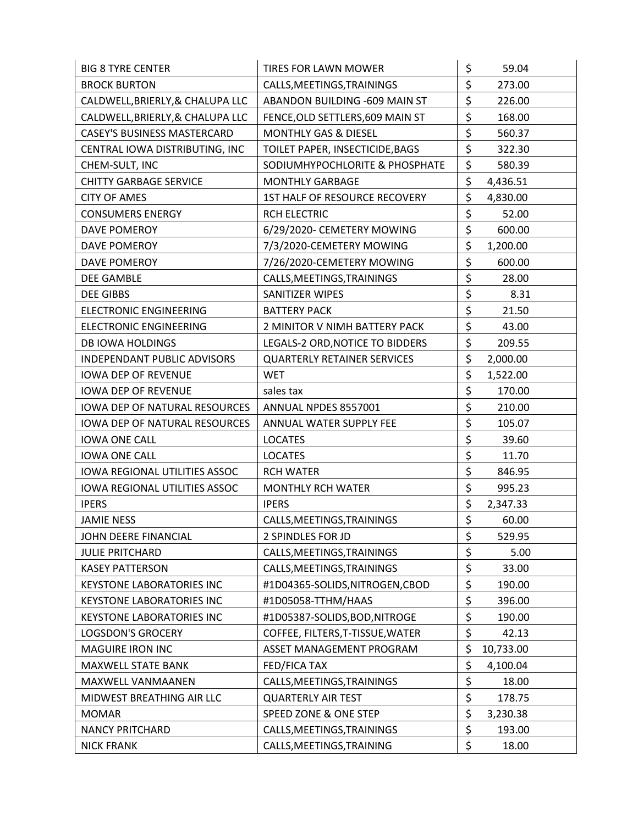| <b>BIG 8 TYRE CENTER</b>             | TIRES FOR LAWN MOWER               | \$<br>59.04     |
|--------------------------------------|------------------------------------|-----------------|
| <b>BROCK BURTON</b>                  | CALLS, MEETINGS, TRAININGS         | \$<br>273.00    |
| CALDWELL, BRIERLY, & CHALUPA LLC     | ABANDON BUILDING -609 MAIN ST      | \$<br>226.00    |
| CALDWELL, BRIERLY, & CHALUPA LLC     | FENCE, OLD SETTLERS, 609 MAIN ST   | \$<br>168.00    |
| <b>CASEY'S BUSINESS MASTERCARD</b>   | <b>MONTHLY GAS &amp; DIESEL</b>    | \$<br>560.37    |
| CENTRAL IOWA DISTRIBUTING, INC       | TOILET PAPER, INSECTICIDE, BAGS    | \$<br>322.30    |
| CHEM-SULT, INC                       | SODIUMHYPOCHLORITE & PHOSPHATE     | \$<br>580.39    |
| <b>CHITTY GARBAGE SERVICE</b>        | <b>MONTHLY GARBAGE</b>             | \$<br>4,436.51  |
| <b>CITY OF AMES</b>                  | 1ST HALF OF RESOURCE RECOVERY      | \$<br>4,830.00  |
| <b>CONSUMERS ENERGY</b>              | <b>RCH ELECTRIC</b>                | \$<br>52.00     |
| <b>DAVE POMEROY</b>                  | 6/29/2020- CEMETERY MOWING         | \$<br>600.00    |
| DAVE POMEROY                         | 7/3/2020-CEMETERY MOWING           | \$<br>1,200.00  |
| <b>DAVE POMEROY</b>                  | 7/26/2020-CEMETERY MOWING          | \$<br>600.00    |
| <b>DEE GAMBLE</b>                    | CALLS, MEETINGS, TRAININGS         | \$<br>28.00     |
| <b>DEE GIBBS</b>                     | SANITIZER WIPES                    | \$<br>8.31      |
| <b>ELECTRONIC ENGINEERING</b>        | <b>BATTERY PACK</b>                | \$<br>21.50     |
| <b>ELECTRONIC ENGINEERING</b>        | 2 MINITOR V NIMH BATTERY PACK      | \$<br>43.00     |
| <b>DB IOWA HOLDINGS</b>              | LEGALS-2 ORD, NOTICE TO BIDDERS    | \$<br>209.55    |
| <b>INDEPENDANT PUBLIC ADVISORS</b>   | <b>QUARTERLY RETAINER SERVICES</b> | \$<br>2,000.00  |
| <b>IOWA DEP OF REVENUE</b>           | <b>WET</b>                         | \$<br>1,522.00  |
| <b>IOWA DEP OF REVENUE</b>           | sales tax                          | \$<br>170.00    |
| <b>IOWA DEP OF NATURAL RESOURCES</b> | ANNUAL NPDES 8557001               | \$<br>210.00    |
| <b>IOWA DEP OF NATURAL RESOURCES</b> | ANNUAL WATER SUPPLY FEE            | \$<br>105.07    |
| <b>IOWA ONE CALL</b>                 | <b>LOCATES</b>                     | \$<br>39.60     |
| <b>IOWA ONE CALL</b>                 | <b>LOCATES</b>                     | \$<br>11.70     |
| IOWA REGIONAL UTILITIES ASSOC        | <b>RCH WATER</b>                   | \$<br>846.95    |
| <b>IOWA REGIONAL UTILITIES ASSOC</b> | <b>MONTHLY RCH WATER</b>           | \$<br>995.23    |
| <b>IPERS</b>                         | <b>IPERS</b>                       | \$<br>2,347.33  |
| <b>JAMIE NESS</b>                    | CALLS, MEETINGS, TRAININGS         | \$<br>60.00     |
| JOHN DEERE FINANCIAL                 | 2 SPINDLES FOR JD                  | \$<br>529.95    |
| <b>JULIE PRITCHARD</b>               | CALLS, MEETINGS, TRAININGS         | \$<br>5.00      |
| <b>KASEY PATTERSON</b>               | CALLS, MEETINGS, TRAININGS         | \$<br>33.00     |
| <b>KEYSTONE LABORATORIES INC</b>     | #1D04365-SOLIDS, NITROGEN, CBOD    | \$<br>190.00    |
| <b>KEYSTONE LABORATORIES INC</b>     | #1D05058-TTHM/HAAS                 | \$<br>396.00    |
| <b>KEYSTONE LABORATORIES INC</b>     | #1D05387-SOLIDS, BOD, NITROGE      | \$<br>190.00    |
| <b>LOGSDON'S GROCERY</b>             | COFFEE, FILTERS, T-TISSUE, WATER   | \$<br>42.13     |
| <b>MAGUIRE IRON INC</b>              | ASSET MANAGEMENT PROGRAM           | \$<br>10,733.00 |
| MAXWELL STATE BANK                   | FED/FICA TAX                       | \$<br>4,100.04  |
| MAXWELL VANMAANEN                    | CALLS, MEETINGS, TRAININGS         | \$<br>18.00     |
| MIDWEST BREATHING AIR LLC            | <b>QUARTERLY AIR TEST</b>          | \$<br>178.75    |
| <b>MOMAR</b>                         | SPEED ZONE & ONE STEP              | \$<br>3,230.38  |
| <b>NANCY PRITCHARD</b>               | CALLS, MEETINGS, TRAININGS         | \$<br>193.00    |
| <b>NICK FRANK</b>                    | CALLS, MEETINGS, TRAINING          | \$<br>18.00     |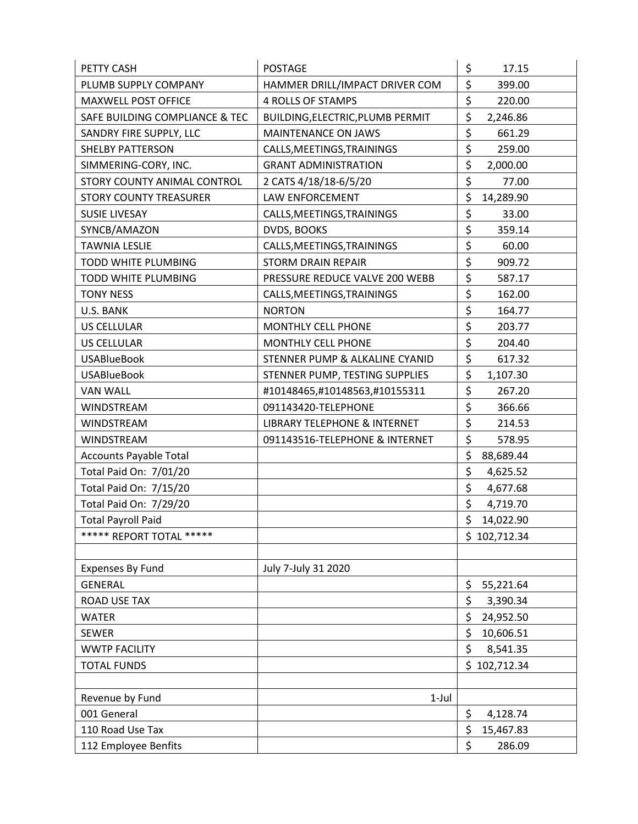| PETTY CASH                     | <b>POSTAGE</b>                          | \$<br>17.15     |
|--------------------------------|-----------------------------------------|-----------------|
| PLUMB SUPPLY COMPANY           | HAMMER DRILL/IMPACT DRIVER COM          | \$<br>399.00    |
| <b>MAXWELL POST OFFICE</b>     | <b>4 ROLLS OF STAMPS</b>                | \$<br>220.00    |
| SAFE BUILDING COMPLIANCE & TEC | BUILDING, ELECTRIC, PLUMB PERMIT        | \$<br>2,246.86  |
| SANDRY FIRE SUPPLY, LLC        | MAINTENANCE ON JAWS                     | \$<br>661.29    |
| <b>SHELBY PATTERSON</b>        | CALLS, MEETINGS, TRAININGS              | \$<br>259.00    |
| SIMMERING-CORY, INC.           | <b>GRANT ADMINISTRATION</b>             | \$<br>2,000.00  |
| STORY COUNTY ANIMAL CONTROL    | 2 CATS 4/18/18-6/5/20                   | \$<br>77.00     |
| <b>STORY COUNTY TREASURER</b>  | LAW ENFORCEMENT                         | \$<br>14,289.90 |
| <b>SUSIE LIVESAY</b>           | CALLS, MEETINGS, TRAININGS              | \$<br>33.00     |
| SYNCB/AMAZON                   | DVDS, BOOKS                             | \$<br>359.14    |
| <b>TAWNIA LESLIE</b>           | CALLS, MEETINGS, TRAININGS              | \$<br>60.00     |
| TODD WHITE PLUMBING            | <b>STORM DRAIN REPAIR</b>               | \$<br>909.72    |
| TODD WHITE PLUMBING            | PRESSURE REDUCE VALVE 200 WEBB          | \$<br>587.17    |
| <b>TONY NESS</b>               | CALLS, MEETINGS, TRAININGS              | \$<br>162.00    |
| U.S. BANK                      | <b>NORTON</b>                           | \$<br>164.77    |
| <b>US CELLULAR</b>             | <b>MONTHLY CELL PHONE</b>               | \$<br>203.77    |
| US CELLULAR                    | MONTHLY CELL PHONE                      | \$<br>204.40    |
| <b>USABlueBook</b>             | STENNER PUMP & ALKALINE CYANID          | \$<br>617.32    |
| <b>USABlueBook</b>             | STENNER PUMP, TESTING SUPPLIES          | \$<br>1,107.30  |
| VAN WALL                       | #10148465,#10148563,#10155311           | \$<br>267.20    |
| WINDSTREAM                     | 091143420-TELEPHONE                     | \$<br>366.66    |
| <b>WINDSTREAM</b>              | <b>LIBRARY TELEPHONE &amp; INTERNET</b> | \$<br>214.53    |
| WINDSTREAM                     | 091143516-TELEPHONE & INTERNET          | \$<br>578.95    |
| <b>Accounts Payable Total</b>  |                                         | \$<br>88,689.44 |
| Total Paid On: 7/01/20         |                                         | \$<br>4,625.52  |
| Total Paid On: 7/15/20         |                                         | \$<br>4,677.68  |
| Total Paid On: 7/29/20         |                                         | \$<br>4,719.70  |
| <b>Total Payroll Paid</b>      |                                         | \$<br>14,022.90 |
| ***** REPORT TOTAL *****       |                                         | \$102,712.34    |
|                                |                                         |                 |
| <b>Expenses By Fund</b>        | July 7-July 31 2020                     |                 |
| <b>GENERAL</b>                 |                                         | \$<br>55,221.64 |
| <b>ROAD USE TAX</b>            |                                         | \$<br>3,390.34  |
| <b>WATER</b>                   |                                         | \$<br>24,952.50 |
| <b>SEWER</b>                   |                                         | \$<br>10,606.51 |
| <b>WWTP FACILITY</b>           |                                         | \$<br>8,541.35  |
| <b>TOTAL FUNDS</b>             |                                         | \$102,712.34    |
|                                |                                         |                 |
| Revenue by Fund                | $1-Jul$                                 |                 |
| 001 General                    |                                         | \$<br>4,128.74  |
| 110 Road Use Tax               |                                         | \$<br>15,467.83 |
| 112 Employee Benfits           |                                         | \$<br>286.09    |